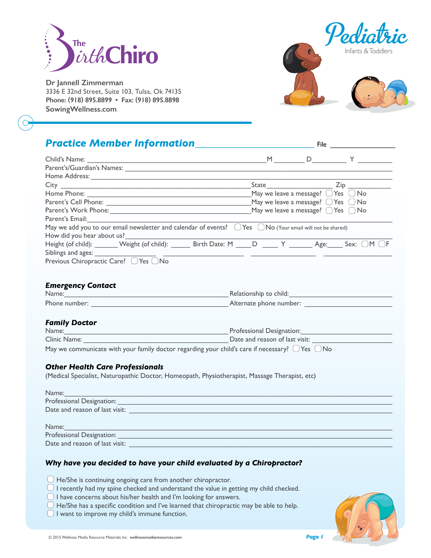

**Dr Jannell Zimmerman** 3336 E 32nd Street, Suite 103, Tulsa, Ok 74135 **Phone: (918) 895.8899 • Fax: (918) 895.8898 SowingWellness.com**



# **Practice Member Information**

| Child's Name:                                                                                                                                                                                                                        | $M \sim$ |                                                      | D Y                           |
|--------------------------------------------------------------------------------------------------------------------------------------------------------------------------------------------------------------------------------------|----------|------------------------------------------------------|-------------------------------|
| Parent's/Guardian's Names:                                                                                                                                                                                                           |          |                                                      |                               |
|                                                                                                                                                                                                                                      |          |                                                      |                               |
| City <u>City City City Communists of the State of the State of the State of the State of the State of the State of the State of the State of the State of the State of the State of the State of the State of the State of the S</u> |          | State                                                | $\mathsf{Zip}_{\overline{p}}$ |
|                                                                                                                                                                                                                                      |          | May we leave a message? $\bigcirc$ Yes $\bigcirc$ No |                               |
|                                                                                                                                                                                                                                      |          | May we leave a message? $\bigcirc$ Yes $\bigcirc$ No |                               |
| May we leave a message? $\bigcap$ Yes $\bigcap$ No<br>Parent's Work Phone:                                                                                                                                                           |          |                                                      |                               |
| Parent's Email:                                                                                                                                                                                                                      |          |                                                      |                               |
| May we add you to our email newsletter and calendar of events? $\Box$ Yes $\Box$ No (Your email will not be shared)                                                                                                                  |          |                                                      |                               |
| How did you hear about us?                                                                                                                                                                                                           |          |                                                      |                               |
| Height (of child): _______ Weight (of child): ______ Birth Date: M ____ D _____ Y _______ Age:                                                                                                                                       |          |                                                      | Sex:                          |
| Siblings and ages:                                                                                                                                                                                                                   |          |                                                      |                               |
| Previous Chiropractic Care? ◯ Yes ◯ No                                                                                                                                                                                               |          |                                                      |                               |

#### *Emergency Contact*

| Name:         | Relationship to child:  |
|---------------|-------------------------|
| Phone number: | Alternate phone number: |

#### *Family Doctor*

| Name:                                                                                                     | Professional Designation:      |
|-----------------------------------------------------------------------------------------------------------|--------------------------------|
| Clinic Name:                                                                                              | Date and reason of last visit: |
| May we communicate with your family doctor regarding your child's care if necessary? $\Box$ Yes $\Box$ No |                                |

#### *Other Health Care Professionals*

(Medical Specialist, Naturopathic Doctor, Homeopath, Physiotherapist, Massage Therapist, etc)

| Name:                          |  |
|--------------------------------|--|
| Professional Designation:      |  |
| Date and reason of last visit: |  |
|                                |  |
| Name:                          |  |
| Professional Designation:      |  |
| Date and reason of last visit: |  |

#### *Why have you decided to have your child evaluated by a Chiropractor?*

- $\Box$  He/She is continuing ongoing care from another chiropractor.
- $\bigcirc$  I recently had my spine checked and understand the value in getting my child checked.
- $\Box$  I have concerns about his/her health and I'm looking for answers.
- $\Box$  He/She has a specific condition and I've learned that chiropractic may be able to help.
- $\Box$  I want to improve my child's immune function.

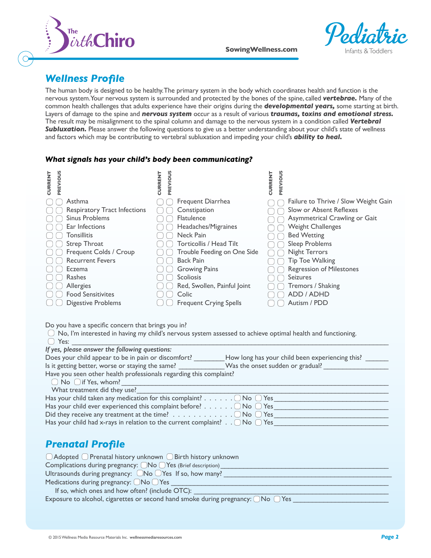



## *Wellness Profile*

The human body is designed to be healthy. The primary system in the body which coordinates health and function is the nervous system. Your nervous system is surrounded and protected by the bones of the spine, called *vertebrae.* Many of the common health challenges that adults experience have their origins during the *developmental years,* some starting at birth. Layers of damage to the spine and *nervous system* occur as a result of various *traumas, toxins and emotional stress.*  The result may be misalignment to the spinal column and damage to the nervous system in a condition called *Vertebral*  **Subluxation.** Please answer the following questions to give us a better understanding about your child's state of wellness and factors which may be contributing to vertebral subluxation and impeding your child's *ability to heal.*

#### *What signals has your child's body been communicating?*

| PREVIOUS<br><b>CURRENT</b> |                                     | PREVIOUS<br><b>CURRENT</b> |                               | <b>CURRENT</b> | PREVIOUS                             |
|----------------------------|-------------------------------------|----------------------------|-------------------------------|----------------|--------------------------------------|
|                            | Asthma                              |                            | Frequent Diarrhea             |                | Failure to Thrive / Slow Weight Gain |
|                            | <b>Respiratory Tract Infections</b> |                            | Constipation                  |                | Slow or Absent Reflexes              |
|                            | <b>Sinus Problems</b>               |                            | <b>Flatulence</b>             |                | Asymmetrical Crawling or Gait        |
|                            | Ear Infections                      |                            | Headaches/Migraines           |                | <b>Weight Challenges</b>             |
|                            | Tonsillitis                         |                            | Neck Pain                     |                | <b>Bed Wetting</b>                   |
|                            | Strep Throat                        |                            | Torticollis / Head Tilt       |                | Sleep Problems                       |
|                            | Frequent Colds / Croup              |                            | Trouble Feeding on One Side   |                | <b>Night Terrors</b>                 |
|                            | <b>Recurrent Fevers</b>             |                            | <b>Back Pain</b>              |                | <b>Tip Toe Walking</b>               |
|                            | Eczema                              |                            | <b>Growing Pains</b>          |                | <b>Regression of Milestones</b>      |
|                            | Rashes                              |                            | <b>Scoliosis</b>              |                | <b>Seizures</b>                      |
|                            | Allergies                           |                            | Red, Swollen, Painful Joint   |                | Tremors / Shaking                    |
|                            | <b>Food Sensitivites</b>            |                            | Colic                         |                | ADD / ADHD                           |
|                            | <b>Digestive Problems</b>           |                            | <b>Frequent Crying Spells</b> |                | Autism / PDD                         |

Do you have a specific concern that brings you in?

| $\Box$ No, I'm interested in having my child's nervous system assessed to achieve optimal health and functioning. |  |
|-------------------------------------------------------------------------------------------------------------------|--|
| $\bigcirc$ Yes:                                                                                                   |  |

| If yes, please answer the following questions:                                               |                                                 |
|----------------------------------------------------------------------------------------------|-------------------------------------------------|
| Does your child appear to be in pain or discomfort?                                          | How long has your child been experiencing this? |
| Is it getting better, worse or staying the same?                                             | Was the onset sudden or gradual?                |
| Have you seen other health professionals regarding this complaint?                           |                                                 |
| $\bigcirc$ No $\bigcirc$ if Yes, whom?                                                       |                                                 |
| What treatment did they use?                                                                 |                                                 |
| Has your child taken any medication for this complaint? $\Box$ No $\Box$ Yes                 |                                                 |
| Has your child ever experienced this complaint before? $\Box$ No $\Box$ Yes                  |                                                 |
| Did they receive any treatment at the time? $\dots \dots \dots \dots \dots \dots \dots$      |                                                 |
| Has your child had x-rays in relation to the current complaint? $\bigcirc$ No $\bigcirc$ Yes |                                                 |
|                                                                                              |                                                 |

# *Prenatal Profile*

| $\Box$ Adopted $\Box$ Prenatal history unknown $\Box$ Birth history unknown                 |
|---------------------------------------------------------------------------------------------|
| Complications during pregnancy: $\Box$ No $\Box$ Yes (Brief description)                    |
| Ultrasounds during pregnancy: $\Box$ No $\Box$ Yes If so, how many?                         |
| Medications during pregnancy: $\bigcirc$ No $\bigcirc$ Yes                                  |
| If so, which ones and how often? (include OTC):                                             |
| Exposure to alcohol, cigarettes or second hand smoke during pregnancy: $\Box$ No $\Box$ Yes |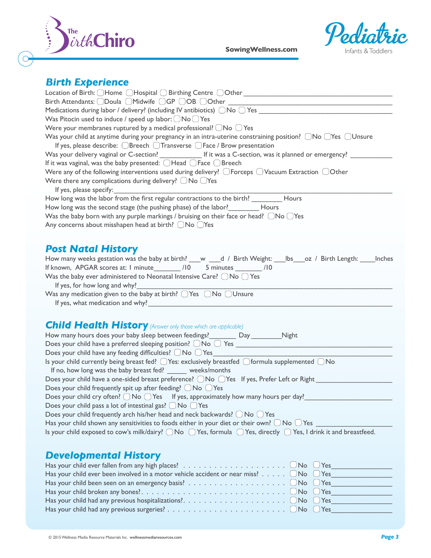

**SowingWellness.com** 



### *Birth Experience*

| <u></u>                                                                                                                                              |
|------------------------------------------------------------------------------------------------------------------------------------------------------|
|                                                                                                                                                      |
| Birth Attendants: ODoula OMidwife OGP OOB OOther _______________________________                                                                     |
| Medications during labor / delivery? (including IV antibiotics) $\Box$ No $\Box$ Yes                                                                 |
| Was Pitocin used to induce / speed up labor: $\bigcirc$ No $\bigcirc$ Yes                                                                            |
| Were your membranes ruptured by a medical professional? $\Box$ No $\Box$ Yes                                                                         |
| Was your child at anytime during your pregnancy in an intra-uterine constraining position? $\Box$ No $\Box$ Yes $\Box$ Unsure                        |
| If yes, please describe: OBreech OTransverse OFace / Brow presentation                                                                               |
| Was your delivery vaginal or C-section? ______________ If it was a C-section, was it planned or emergency? ______                                    |
| If it was vaginal, was the baby presented: $\bigcirc$ Head $\bigcirc$ Face $\bigcirc$ Breech                                                         |
| Were any of the following interventions used during delivery? $\Box$ Forceps $\Box$ Vacuum Extraction $\Box$ Other                                   |
| Were there any complications during delivery? $\bigcirc$ No $\bigcirc$ Yes                                                                           |
| If yes, please specify:                                                                                                                              |
| How long was the labor from the first regular contractions to the birth? _________ Hours                                                             |
| How long was the second stage (the pushing phase) of the labor?<br>Hours                                                                             |
| Was the baby born with any purple markings / bruising on their face or head? $\bigcirc$ No $\bigcirc$ Yes                                            |
| Any concerns about misshapen head at birth? $\bigcirc$ No $\bigcirc$ Yes                                                                             |
|                                                                                                                                                      |
|                                                                                                                                                      |
| <b>Post Natal History</b>                                                                                                                            |
| How many weeks gestation was the baby at birth? __w __d / Birth Weight: ___lbs___oz / Birth Length: ____lnches                                       |
| If known, APGAR scores at: 1 minute /10 5 minutes /10                                                                                                |
| Was the baby ever administered to Neonatal Intensive Care? $\bigcirc$ No $\bigcirc$ Yes                                                              |
| If yes, for how long and why?                                                                                                                        |
| Was any medication given to the baby at birth? $\bigcirc$ Yes $\bigcirc$ No $\bigcirc$ Unsure                                                        |
|                                                                                                                                                      |
|                                                                                                                                                      |
| <b>Child Health History</b> (Answer only those which are applicable)                                                                                 |
| How many hours does your baby sleep between feedings?__________ Day__________Night                                                                   |
|                                                                                                                                                      |
| Does your child have any feeding difficulties? ONo OYes                                                                                              |
| Is your child currently being breast fed? $\bigcirc$ Yes: exclusively breastfed $\bigcirc$ formula supplemented $\bigcirc$ No                        |
| If no, how long was the baby breast fed? ______ weeks/months                                                                                         |
| Does your child have a one-sided breast preference? ○ No ○ Yes If yes, Prefer Left or Right                                                          |
| Does your child frequently spit up after feeding? $\bigcirc$ No $\bigcirc$ Yes                                                                       |
| Does your child cry often? $\bigcirc$ No $\bigcirc$ Yes If yes, approximately how many hours per day?                                                |
| Does your child pass a lot of intestinal gas? $\bigcirc$ No $\bigcirc$ Yes                                                                           |
| Does your child frequently arch his/her head and neck backwards? $\bigcirc$ No $\bigcirc$ Yes                                                        |
| Has your child shown any sensitivities to foods either in your diet or their own? $\bigcup$ No $\bigcup$ Yes                                         |
|                                                                                                                                                      |
| Is your child exposed to cow's milk/dairy? $\bigcirc$ No $\bigcirc$ Yes, formula $\bigcirc$ Yes, directly $\bigcirc$ Yes, I drink it and breastfeed. |
|                                                                                                                                                      |
| <b>Developmental History</b>                                                                                                                         |
| Has your child ever fallen from any high places? $\dots \dots \dots \dots \dots \dots \dots \dots$<br>$\bigcup$ Yes                                  |
| Has your child ever been involved in a motor vehicle accident or near miss? $\Box$ No<br>$\bigcup$ Yes                                               |
| $\bigcup$ No<br>Yes                                                                                                                                  |

Has your child broken any bones? . . . . . . . . . . . . . . . . . . . . . . . . . . . . No Yes\_\_\_\_\_\_\_\_\_\_\_\_\_\_\_\_ Has your child had any previous hospitalizations?.  $\dots \dots \dots \dots \dots \dots \dots \dots \dots \dots \dots \dots \dots \dots \dots$ Has your child had any previous surgeries? . .No Yes\_\_\_\_\_\_\_\_\_\_\_\_\_\_\_\_